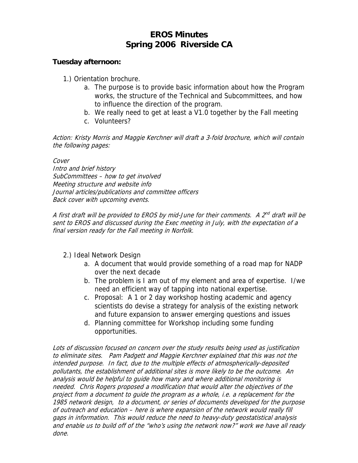## **EROS Minutes Spring 2006 Riverside CA**

## **Tuesday afternoon:**

1.) Orientation brochure.

- a. The purpose is to provide basic information about how the Program works, the structure of the Technical and Subcommittees, and how to influence the direction of the program.
- b. We really need to get at least a V1.0 together by the Fall meeting
- c. Volunteers?

Action: Kristy Morris and Maggie Kerchner will draft a 3-fold brochure, which will contain the following pages:

Cover Intro and brief history SubCommittees – how to get involved Meeting structure and website info Journal articles/publications and committee officers Back cover with upcoming events.

A first draft will be provided to EROS by mid-June for their comments. A  $2^{nd}$  draft will be sent to EROS and discussed during the Exec meeting in July, with the expectation of a final version ready for the Fall meeting in Norfolk.

2.) Ideal Network Design

- a. A document that would provide something of a road map for NADP over the next decade
- b. The problem is I am out of my element and area of expertise. I/we need an efficient way of tapping into national expertise.
- c. Proposal: A 1 or 2 day workshop hosting academic and agency scientists do devise a strategy for analysis of the existing network and future expansion to answer emerging questions and issues
- d. Planning committee for Workshop including some funding opportunities.

Lots of discussion focused on concern over the study results being used as justification to eliminate sites. Pam Padgett and Maggie Kerchner explained that this was not the intended purpose. In fact, due to the multiple effects of atmospherically-deposited pollutants, the establishment of additional sites is more likely to be the outcome. An analysis would be helpful to guide how many and where additional monitoring is needed. Chris Rogers proposed a modification that would alter the objectives of the project from a document to guide the program as a whole, i.e. a replacement for the 1985 network design, to a document, or series of documents developed for the purpose of outreach and education – here is where expansion of the network would really fill gaps in information. This would reduce the need to heavy-duty geostatistical analysis and enable us to build off of the "who's using the network now?" work we have all ready done.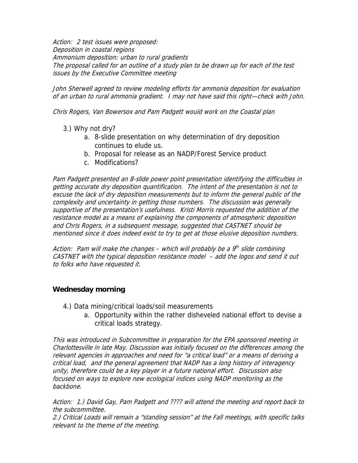Action: 2 test issues were proposed: Deposition in coastal regions Ammonium deposition: urban to rural gradients The proposal called for an outline of a study plan to be drawn up for each of the test issues by the Executive Committee meeting

John Sherwell agreed to review modeling efforts for ammonia deposition for evaluation of an urban to rural ammonia gradient. I may not have said this right—check with John.

Chris Rogers, Van Bowersox and Pam Padgett would work on the Coastal plan

- 3.) Why not dry?
	- a. 8-slide presentation on why determination of dry deposition continues to elude us.
	- b. Proposal for release as an NADP/Forest Service product
	- c. Modifications?

Pam Padgett presented an 8-slide power point presentation identifying the difficulties in getting accurate dry deposition quantification. The intent of the presentation is not to excuse the lack of dry deposition measurements but to inform the general public of the complexity and uncertainty in getting those numbers. The discussion was generally supportive of the presentation's usefulness. Kristi Morris requested the addition of the resistance model as a means of explaining the components of atmospheric deposition and Chris Rogers, in a subsequent message, suggested that CASTNET should be mentioned since it does indeed exist to try to get at those elusive deposition numbers.

Action: Pam will make the changes – which will probably be a  $9<sup>th</sup>$  slide combining CASTNET with the typical deposition resistance model – add the logos and send it out to folks who have requested it.

## **Wednesday morning**

- 4.) Data mining/critical loads/soil measurements
	- a. Opportunity within the rather disheveled national effort to devise a critical loads strategy.

This was introduced in Subcommittee in preparation for the EPA sponsored meeting in Charlottesville in late May. Discussion was initially focused on the differences among the relevant agencies in approaches and need for "a critical load" or a means of deriving a critical load, and the general agreement that NADP has a long history of interagency unity, therefore could be a key player in a future national effort. Discussion also focused on ways to explore new ecological indices using NADP monitoring as the backbone.

Action: 1.) David Gay, Pam Padgett and ???? will attend the meeting and report back to the subcommittee.

2.) Critical Loads will remain a "standing session" at the Fall meetings, with specific talks relevant to the theme of the meeting.